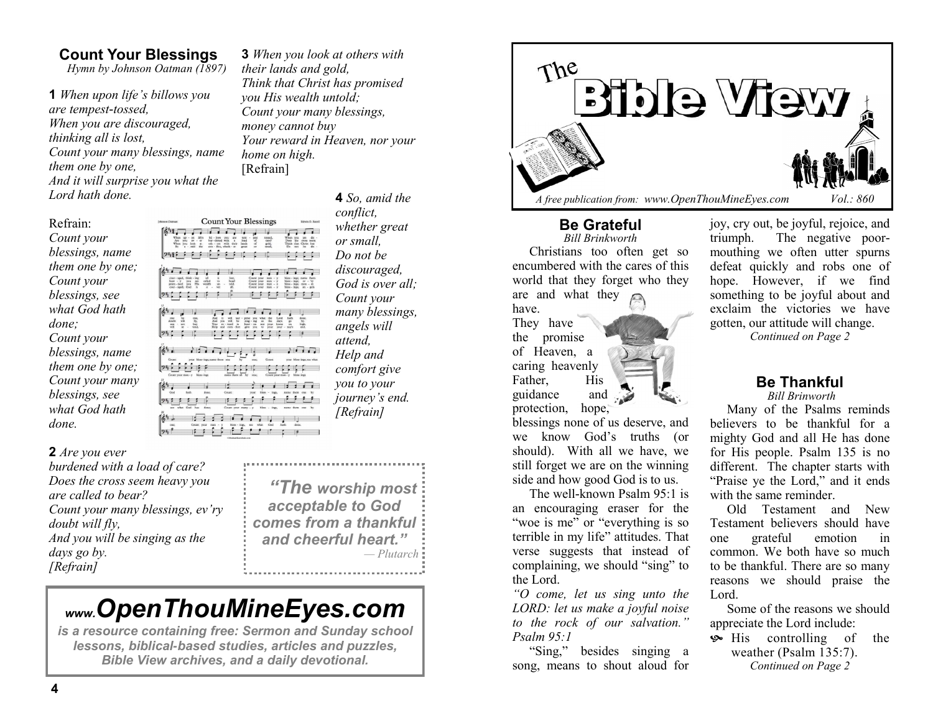## **Count Your Blessings**

*Hymn by Johnson Oatman (1897)*

**1** *When upon life's billows you are tempest-tossed, When you are discouraged, thinking all is lost, Count your many blessings, name them one by one, And it will surprise you what the Lord hath done.*

Refrain: *Count your blessings, name them one by one; Count your blessings, see what God hath done; Count your blessings, name them one by one; Count your many blessings, see what God hath done.*

 $\begin{bmatrix} \hat{\phi}^{i_1} \\ \hat{\sigma}^{i_2} \\ \end{bmatrix} \begin{bmatrix} \overbrace{\hspace{0.5cm}} & \overbrace{\hspace{0.5cm}} & \overbrace{\hspace{0.5cm}} & \overbrace{\hspace{0.5cm}} & \overbrace{\hspace{0.5cm}} & \overbrace{\hspace{0.5cm}} & \overbrace{\hspace{0.5cm}} & \overbrace{\hspace{0.5cm}} & \overbrace{\hspace{0.5cm}} & \overbrace{\hspace{0.5cm}} & \overbrace{\hspace{0.5cm}} & \overbrace{\hspace{0.5cm}} & \overbrace{\hspace{0.5cm}} & \overbrace{\hspace{0.5cm$ When up - en life's bil - lows you are tem - pest toused,<br>Are you ev - er bur-dened with a load of care?<br>When you look at eth - ers with their lands of geld,<br> $\frac{1}{2}$  a - mid the con - fliet, wheth - er areat ee small.  $9435555555515516$   $12551$  $\mathbb{R}^n$ . The set of the set of  $\mathbb{R}^n$ cour- aged, think - ing all is lost,<br>hear - y you are called to bear?<br>prom - ised you His wealth un - told. Count your man -  $y$  bless - lags; name them<br>Count your man -  $y$  bless - lags;  $ex - 7y$ <br>Count your man -  $y$  bless - lags;  $ex - 7y$ <br>Count your man -  $v$  bless - lags; non - cole  $64.7$ 100000000 one by one,<br>doubt will fly,<br>can - not buy  $945$   $5$   $16$   $16$   $55$   $56$   $55$   $52$  $\overline{1}$ ំស្រុក ស្រុះស្រុក ស្រុ  $1 + 177$ Count: your blow - ings, name them one by<br> $\begin{bmatrix} \uparrow & \downarrow \\ \downarrow & \downarrow \end{bmatrix}$  $94:7:7$  $\sqrt{3}$   $\sqrt{2}$   $\sqrt{2}$   $\sqrt{2}$   $\sqrt{2}$   $\sqrt{2}$ 

**Count Your Blessings** 

**3** *When you look at others with their lands and gold, Think that Christ has promised you His wealth untold; Count your many blessings, money cannot buy Your reward in Heaven, nor your home on high.*  [Refrain]

> **4** *So, amid the conflict, whether great or small, Do not be discouraged, God is over all; Count your many blessings, angels will attend, Help and comfort give you to your journey's end. [Refrain]*

**2** *Are you ever burdened with a load of care? Does the cross seem heavy you are called to bear? Count your many blessings, ev'ry doubt will fly, And you will be singing as the days go by. [Refrain]*

*"The worship most acceptable to God comes from a thankful and cheerful heart." — Plutarch*

# *www.OpenThouMineEyes.com*

*is a resource containing free: Sermon and Sunday school lessons, biblical-based studies, articles and puzzles, Bible View archives, and a daily devotional.* 



## **Be Grateful**

*Bill Brinkworth* Christians too often get so encumbered with the cares of this world that they forget who they are and what they

have. They have the promise of Heaven, a caring heavenly Father, His guidance and protection, hope.

blessings none of us deserve, and we know God's truths (or should). With all we have, we still forget we are on the winning side and how good God is to us.

The well-known Psalm 95:1 is an encouraging eraser for the "woe is me" or "everything is so terrible in my life" attitudes. That verse suggests that instead of complaining, we should "sing" to the Lord.

*"O come, let us sing unto the LORD: let us make a joyful noise to the rock of our salvation." Psalm 95:1*

"Sing," besides singing a song, means to shout aloud for joy, cry out, be joyful, rejoice, and triumph. The negative poormouthing we often utter spurns defeat quickly and robs one of hope. However, if we find something to be joyful about and exclaim the victories we have gotten, our attitude will change. *Continued on Page 2*

## **Be Thankful**

*Bill Brinworth*

Many of the Psalms reminds believers to be thankful for a mighty God and all He has done for His people. Psalm 135 is no different. The chapter starts with "Praise ye the Lord," and it ends with the same reminder.

Old Testament and New Testament believers should have one grateful emotion in common. We both have so much to be thankful. There are so many reasons we should praise the Lord.

Some of the reasons we should appreciate the Lord include:

 His controlling of the weather (Psalm 135:7). *Continued on Page 2*